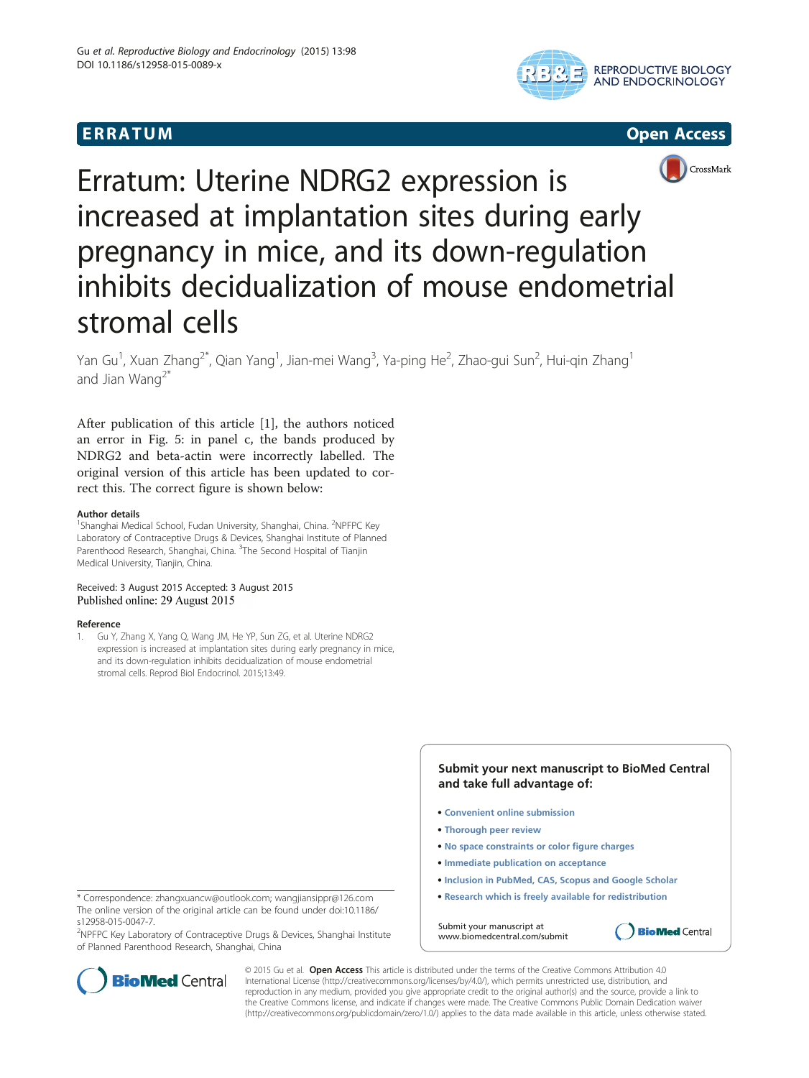





# Erratum: Uterine NDRG2 expression is increased at implantation sites during early pregnancy in mice, and its down-regulation inhibits decidualization of mouse endometrial stromal cells

Yan Gu<sup>1</sup>, Xuan Zhang<sup>2\*</sup>, Qian Yang<sup>1</sup>, Jian-mei Wang<sup>3</sup>, Ya-ping He<sup>2</sup>, Zhao-gui Sun<sup>2</sup>, Hui-qin Zhang<sup>1</sup> and Jian Wang<sup>2\*</sup>

After publication of this article [1], the authors noticed an error in Fig. [5:](#page-1-0) in panel c, the bands produced by NDRG2 and beta-actin were incorrectly labelled. The original version of this article has been updated to correct this. The correct figure is shown below:

### Author details

<sup>1</sup>Shanghai Medical School, Fudan University, Shanghai, China. <sup>2</sup>NPFPC Key Laboratory of Contraceptive Drugs & Devices, Shanghai Institute of Planned Parenthood Research, Shanghai, China. <sup>3</sup>The Second Hospital of Tianjin Medical University, Tianjin, China.

## Received: 3 August 2015 Accepted: 3 August 2015 Published online: 29 August 2015

### Reference

1. Gu Y, Zhang X, Yang Q, Wang JM, He YP, Sun ZG, et al. Uterine NDRG2 expression is increased at implantation sites during early pregnancy in mice, and its down-regulation inhibits decidualization of mouse endometrial stromal cells. Reprod Biol Endocrinol. 2015;13:49.

> **Submit your next manuscript to BioMed Central and take full advantage of:**

- **Convenient online submission**
- **Thorough peer review**
- **No space constraints or color figure charges**
- **Immediate publication on acceptance**
- **Inclusion in PubMed, CAS, Scopus and Google Scholar**
- **Research which is freely available for redistribution**

**BioMed Central** 

Submit your manuscript at www.biomedcentral.com/submit

\* Correspondence: [zhangxuancw@outlook.com;](mailto:zhangxuancw@outlook.com) [wangjiansippr@126.com](mailto:wangjiansippr@126.com) The online version of the original article can be found under doi:10.1186/ s12958-015-0047-7.

<sup>2</sup>NPFPC Key Laboratory of Contraceptive Drugs & Devices, Shanghai Institute of Planned Parenthood Research, Shanghai, China



© 2015 Gu et al. Open Access This article is distributed under the terms of the Creative Commons Attribution 4.0 International License [\(http://creativecommons.org/licenses/by/4.0/](http://creativecommons.org/licenses/by/4.0/)), which permits unrestricted use, distribution, and reproduction in any medium, provided you give appropriate credit to the original author(s) and the source, provide a link to the Creative Commons license, and indicate if changes were made. The Creative Commons Public Domain Dedication waiver [\(http://creativecommons.org/publicdomain/zero/1.0/](http://creativecommons.org/publicdomain/zero/1.0/)) applies to the data made available in this article, unless otherwise stated.